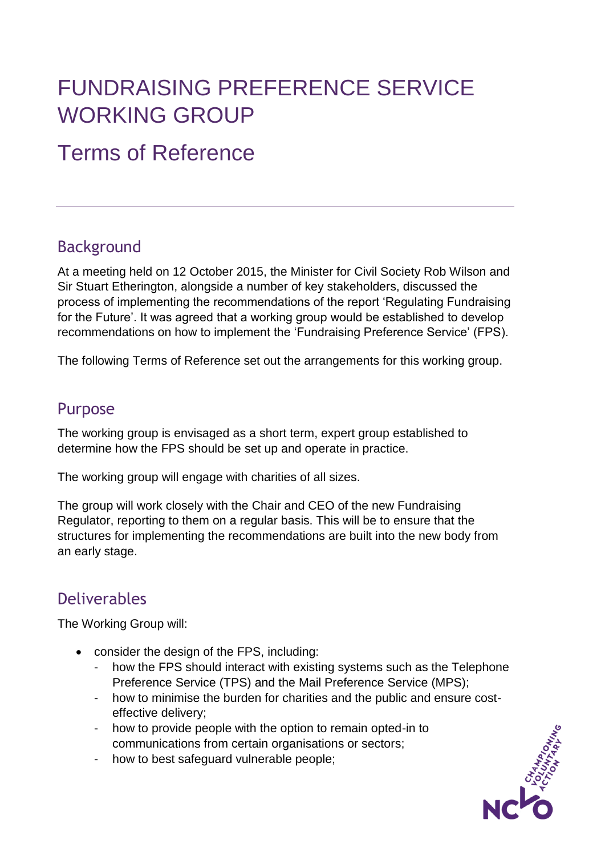# FUNDRAISING PREFERENCE SERVICE WORKING GROUP

# Terms of Reference

#### **Background**

At a meeting held on 12 October 2015, the Minister for Civil Society Rob Wilson and Sir Stuart Etherington, alongside a number of key stakeholders, discussed the process of implementing the recommendations of the report 'Regulating Fundraising for the Future'. It was agreed that a working group would be established to develop recommendations on how to implement the 'Fundraising Preference Service' (FPS).

The following Terms of Reference set out the arrangements for this working group.

#### Purpose

The working group is envisaged as a short term, expert group established to determine how the FPS should be set up and operate in practice.

The working group will engage with charities of all sizes.

The group will work closely with the Chair and CEO of the new Fundraising Regulator, reporting to them on a regular basis. This will be to ensure that the structures for implementing the recommendations are built into the new body from an early stage.

#### Deliverables

The Working Group will:

- consider the design of the FPS, including:
	- how the FPS should interact with existing systems such as the Telephone Preference Service (TPS) and the Mail Preference Service (MPS);
	- how to minimise the burden for charities and the public and ensure costeffective delivery;
	- how to provide people with the option to remain opted-in to communications from certain organisations or sectors;
	- how to best safeguard vulnerable people;

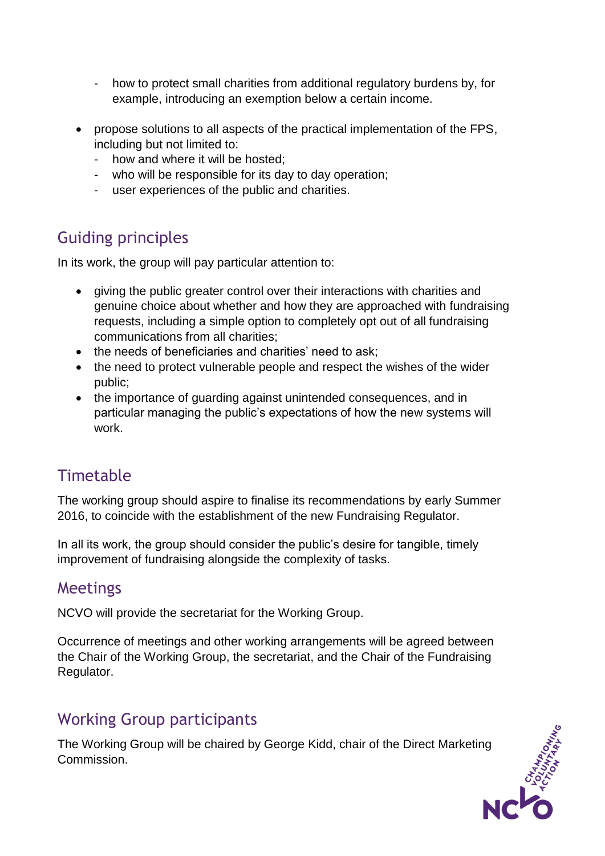- how to protect small charities from additional regulatory burdens by, for example, introducing an exemption below a certain income.
- propose solutions to all aspects of the practical implementation of the FPS, including but not limited to:
	- how and where it will be hosted;
	- who will be responsible for its day to day operation;
	- user experiences of the public and charities.

## Guiding principles

In its work, the group will pay particular attention to:

- giving the public greater control over their interactions with charities and genuine choice about whether and how they are approached with fundraising requests, including a simple option to completely opt out of all fundraising communications from all charities;
- the needs of beneficiaries and charities' need to ask:
- the need to protect vulnerable people and respect the wishes of the wider public;
- the importance of quarding against unintended consequences, and in particular managing the public's expectations of how the new systems will work.

### **Timetable**

The working group should aspire to finalise its recommendations by early Summer 2016, to coincide with the establishment of the new Fundraising Regulator.

In all its work, the group should consider the public's desire for tangible, timely improvement of fundraising alongside the complexity of tasks.

#### Meetings

NCVO will provide the secretariat for the Working Group.

Occurrence of meetings and other working arrangements will be agreed between the Chair of the Working Group, the secretariat, and the Chair of the Fundraising Regulator.

#### Working Group participants

The Working Group will be chaired by George Kidd, chair of the Direct Marketing Commission.